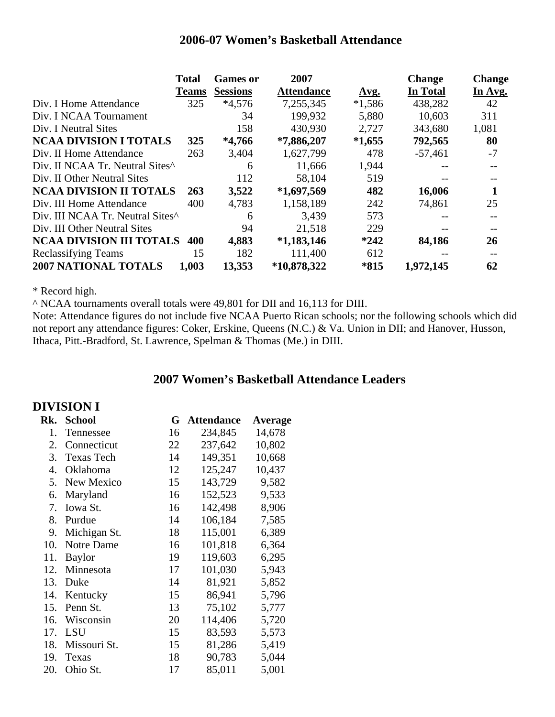#### **2006-07 Women's Basketball Attendance**

|                                             | <b>Total</b> | <b>Games or</b> | 2007              |             | <b>Change</b> | <b>Change</b> |
|---------------------------------------------|--------------|-----------------|-------------------|-------------|---------------|---------------|
|                                             | <b>Teams</b> | <b>Sessions</b> | <b>Attendance</b> | <u>Avg.</u> | In Total      | In Avg.       |
| Div. I Home Attendance                      | 325          | $*4,576$        | 7,255,345         | $*1,586$    | 438,282       | 42            |
| Div. I NCAA Tournament                      |              | 34              | 199,932           | 5,880       | 10,603        | 311           |
| Div. I Neutral Sites                        |              | 158             | 430,930           | 2,727       | 343,680       | 1,081         |
| <b>NCAA DIVISION I TOTALS</b>               | 325          | $*4,766$        | $*7,886,207$      | $*1,655$    | 792,565       | 80            |
| Div. II Home Attendance                     | 263          | 3,404           | 1,627,799         | 478         | $-57,461$     | $-7$          |
| Div. II NCAA Tr. Neutral Sites <sup>^</sup> |              | 6               | 11,666            | 1,944       |               |               |
| Div. II Other Neutral Sites                 |              | 112             | 58,104            | 519         |               |               |
| <b>NCAA DIVISION II TOTALS</b>              | 263          | 3,522           | $*1,697,569$      | 482         | 16,006        |               |
| Div. III Home Attendance                    | 400          | 4,783           | 1,158,189         | 242         | 74,861        | 25            |
| Div. III NCAA Tr. Neutral Sites^            |              | 6               | 3,439             | 573         |               |               |
| Div. III Other Neutral Sites                |              | 94              | 21,518            | 229         |               |               |
| <b>NCAA DIVISION III TOTALS</b>             | 400          | 4,883           | $*1,183,146$      | $*242$      | 84,186        | 26            |
| <b>Reclassifying Teams</b>                  | 15           | 182             | 111,400           | 612         |               |               |
| 2007 NATIONAL TOTALS                        | 1,003        | 13,353          | *10,878,322       | *815        | 1,972,145     | 62            |

\* Record high.

^ NCAA tournaments overall totals were 49,801 for DII and 16,113 for DIII.

Note: Attendance figures do not include five NCAA Puerto Rican schools; nor the following schools which did not report any attendance figures: Coker, Erskine, Queens (N.C.) & Va. Union in DII; and Hanover, Husson, Ithaca, Pitt.-Bradford, St. Lawrence, Spelman & Thomas (Me.) in DIII.

#### **2007 Women's Basketball Attendance Leaders**

|     | DIVISION I        |    |                   |                |
|-----|-------------------|----|-------------------|----------------|
| Rk. | <b>School</b>     | G  | <b>Attendance</b> | <b>Average</b> |
| 1.  | Tennessee         | 16 | 234,845           | 14,678         |
| 2.  | Connecticut       | 22 | 237,642           | 10,802         |
| 3.  | <b>Texas Tech</b> | 14 | 149,351           | 10,668         |
| 4.  | Oklahoma          | 12 | 125,247           | 10,437         |
| 5.  | New Mexico        | 15 | 143,729           | 9,582          |
| 6.  | Maryland          | 16 | 152,523           | 9,533          |
| 7.  | Iowa St.          | 16 | 142,498           | 8,906          |
| 8.  | Purdue            | 14 | 106,184           | 7,585          |
| 9.  | Michigan St.      | 18 | 115,001           | 6,389          |
| 10. | Notre Dame        | 16 | 101,818           | 6,364          |
| 11. | <b>Baylor</b>     | 19 | 119,603           | 6,295          |
| 12. | Minnesota         | 17 | 101,030           | 5,943          |
| 13. | Duke              | 14 | 81,921            | 5,852          |
| 14. | Kentucky          | 15 | 86,941            | 5,796          |
| 15. | Penn St.          | 13 | 75,102            | 5,777          |
| 16. | Wisconsin         | 20 | 114,406           | 5,720          |
| 17. | <b>LSU</b>        | 15 | 83,593            | 5,573          |
| 18. | Missouri St.      | 15 | 81,286            | 5,419          |
| 19. | Texas             | 18 | 90,783            | 5,044          |
| 20. | Ohio St.          | 17 | 85,011            | 5,001          |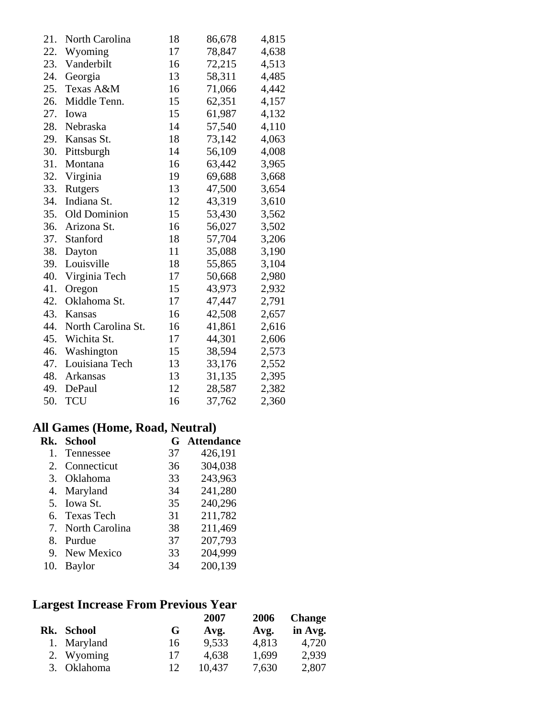| 21. | North Carolina     | 18 | 86,678 | 4,815 |
|-----|--------------------|----|--------|-------|
| 22. | Wyoming            | 17 | 78,847 | 4,638 |
| 23. | Vanderbilt         | 16 | 72,215 | 4,513 |
| 24. | Georgia            | 13 | 58,311 | 4,485 |
| 25. | Texas A&M          | 16 | 71,066 | 4,442 |
| 26. | Middle Tenn.       | 15 | 62,351 | 4,157 |
| 27. | Iowa               | 15 | 61,987 | 4,132 |
| 28. | Nebraska           | 14 | 57,540 | 4,110 |
| 29. | Kansas St.         | 18 | 73,142 | 4,063 |
| 30. | Pittsburgh         | 14 | 56,109 | 4,008 |
| 31. | Montana            | 16 | 63,442 | 3,965 |
| 32. | Virginia           | 19 | 69,688 | 3,668 |
| 33. | Rutgers            | 13 | 47,500 | 3,654 |
| 34. | Indiana St.        | 12 | 43,319 | 3,610 |
| 35. | Old Dominion       | 15 | 53,430 | 3,562 |
| 36. | Arizona St.        | 16 | 56,027 | 3,502 |
| 37. | Stanford           | 18 | 57,704 | 3,206 |
| 38. | Dayton             | 11 | 35,088 | 3,190 |
| 39. | Louisville         | 18 | 55,865 | 3,104 |
| 40. | Virginia Tech      | 17 | 50,668 | 2,980 |
| 41. | Oregon             | 15 | 43,973 | 2,932 |
| 42. | Oklahoma St.       | 17 | 47,447 | 2,791 |
| 43. | Kansas             | 16 | 42,508 | 2,657 |
| 44. | North Carolina St. | 16 | 41,861 | 2,616 |
| 45. | Wichita St.        | 17 | 44,301 | 2,606 |
| 46. | Washington         | 15 | 38,594 | 2,573 |
| 47. | Louisiana Tech     | 13 | 33,176 | 2,552 |
| 48. | Arkansas           | 13 | 31,135 | 2,395 |
| 49. | DePaul             | 12 | 28,587 | 2,382 |
| 50. | <b>TCU</b>         | 16 | 37,762 | 2,360 |

#### **All Games (Home, Road, Neutral)**

|    | Rk. School        | G  | <b>Attendance</b> |
|----|-------------------|----|-------------------|
| 1. | Tennessee         | 37 | 426,191           |
| 2. | Connecticut       | 36 | 304,038           |
|    | 3. Oklahoma       | 33 | 243,963           |
|    | 4. Maryland       | 34 | 241,280           |
|    | 5. Iowa St.       | 35 | 240,296           |
|    | 6. Texas Tech     | 31 | 211,782           |
|    | 7. North Carolina | 38 | 211,469           |
| 8. | Purdue            | 37 | 207,793           |
|    | 9. New Mexico     | 33 | 204,999           |
|    | 10. Baylor        | 34 | 200,139           |

# **Largest Increase From Previous Year**

|    |             |    | 2007   | 2006  | <b>Change</b> |
|----|-------------|----|--------|-------|---------------|
|    | Rk. School  | G  | Avg.   | Avg.  | in Avg.       |
|    | 1. Maryland | 16 | 9,533  | 4,813 | 4,720         |
|    | 2. Wyoming  | 17 | 4,638  | 1,699 | 2,939         |
| 3. | Oklahoma    | 12 | 10,437 | 7,630 | 2,807         |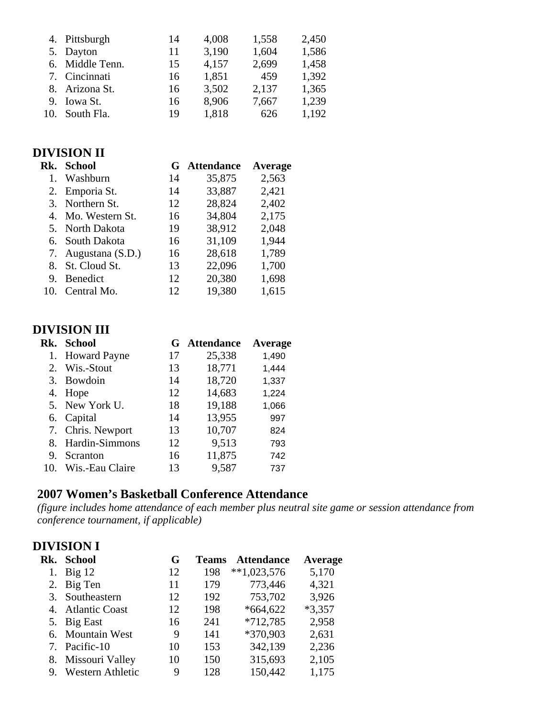| 4. Pittsburgh   | 14 | 4,008 | 1,558 | 2,450 |
|-----------------|----|-------|-------|-------|
| 5. Dayton       | 11 | 3,190 | 1,604 | 1,586 |
| 6. Middle Tenn. | 15 | 4,157 | 2,699 | 1,458 |
| 7. Cincinnati   | 16 | 1,851 | 459   | 1,392 |
| 8. Arizona St.  | 16 | 3,502 | 2,137 | 1,365 |
| 9. Iowa St.     | 16 | 8,906 | 7,667 | 1,239 |
| 10. South Fla.  | 19 | 1,818 | 626   | 1,192 |

## **DIVISION II**

|     | Rk. School          | G  | <b>Attendance</b> | Average |
|-----|---------------------|----|-------------------|---------|
| 1.  | Washburn            | 14 | 35,875            | 2,563   |
|     | 2. Emporia St.      | 14 | 33,887            | 2,421   |
|     | 3. Northern St.     | 12 | 28,824            | 2,402   |
|     | 4. Mo. Western St.  | 16 | 34,804            | 2,175   |
|     | 5. North Dakota     | 19 | 38,912            | 2,048   |
|     | 6. South Dakota     | 16 | 31,109            | 1,944   |
|     | 7. Augustana (S.D.) | 16 | 28,618            | 1,789   |
|     | 8. St. Cloud St.    | 13 | 22,096            | 1,700   |
| 9.  | <b>Benedict</b>     | 12 | 20,380            | 1,698   |
| 10. | Central Mo.         | 12 | 19,380            | 1,615   |

## **DIVISION III**

|     | Rk. School        | G  | <b>Attendance</b> | Average |
|-----|-------------------|----|-------------------|---------|
|     | 1. Howard Payne   | 17 | 25,338            | 1,490   |
|     | 2. Wis.-Stout     | 13 | 18,771            | 1,444   |
|     | 3. Bowdoin        | 14 | 18,720            | 1,337   |
|     | 4. Hope           | 12 | 14,683            | 1,224   |
|     | 5. New York U.    | 18 | 19,188            | 1,066   |
|     | 6. Capital        | 14 | 13,955            | 997     |
|     | 7. Chris. Newport | 13 | 10,707            | 824     |
|     | 8. Hardin-Simmons | 12 | 9,513             | 793     |
| 9.  | Scranton          | 16 | 11,875            | 742     |
| 10. | Wis.-Eau Claire   | 13 | 9,587             | 737     |

#### **2007 Women's Basketball Conference Attendance**

*(figure includes home attendance of each member plus neutral site game or session attendance from conference tournament, if applicable)* 

# **DIVISION I**

|    | Rk. School         | G  | <b>Teams</b> | <b>Attendance</b> | Average  |
|----|--------------------|----|--------------|-------------------|----------|
| 1. | $Big$ 12           | 12 | 198          | $**1,023,576$     | 5,170    |
|    | 2. Big Ten         | 11 | 179          | 773,446           | 4,321    |
|    | 3. Southeastern    | 12 | 192          | 753,702           | 3,926    |
|    | 4. Atlantic Coast  | 12 | 198          | $*664,622$        | $*3,357$ |
|    | 5. Big East        | 16 | 241          | $*712,785$        | 2,958    |
|    | 6. Mountain West   | 9  | 141          | *370,903          | 2,631    |
|    | 7. Pacific-10      | 10 | 153          | 342,139           | 2,236    |
|    | 8. Missouri Valley | 10 | 150          | 315,693           | 2,105    |
| 9. | Western Athletic   | 9  | 128          | 150,442           | 1,175    |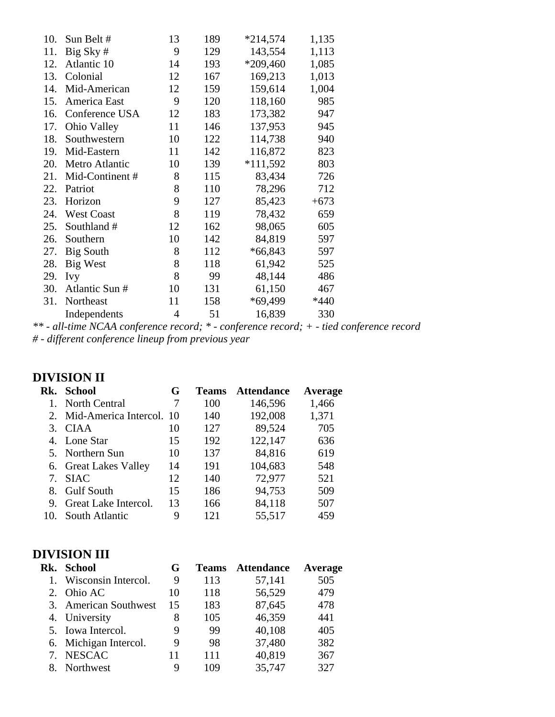| 10. | Sun Belt #        | 13             | 189 | $*214,574$ | 1,135  |
|-----|-------------------|----------------|-----|------------|--------|
| 11. | Big Sky #         | 9              | 129 | 143,554    | 1,113  |
| 12. | Atlantic 10       | 14             | 193 | $*209,460$ | 1,085  |
| 13. | Colonial          | 12             | 167 | 169,213    | 1,013  |
| 14. | Mid-American      | 12             | 159 | 159,614    | 1,004  |
| 15. | America East      | 9              | 120 | 118,160    | 985    |
| 16. | Conference USA    | 12             | 183 | 173,382    | 947    |
| 17. | Ohio Valley       | 11             | 146 | 137,953    | 945    |
| 18. | Southwestern      | 10             | 122 | 114,738    | 940    |
| 19. | Mid-Eastern       | 11             | 142 | 116,872    | 823    |
| 20. | Metro Atlantic    | 10             | 139 | $*111,592$ | 803    |
| 21. | Mid-Continent#    | 8              | 115 | 83,434     | 726    |
| 22. | Patriot           | 8              | 110 | 78,296     | 712    |
| 23. | Horizon           | 9              | 127 | 85,423     | $+673$ |
| 24. | <b>West Coast</b> | 8              | 119 | 78,432     | 659    |
| 25. | Southland #       | 12             | 162 | 98,065     | 605    |
| 26. | Southern          | 10             | 142 | 84,819     | 597    |
| 27. | Big South         | 8              | 112 | $*66,843$  | 597    |
| 28. | Big West          | 8              | 118 | 61,942     | 525    |
| 29. | <b>Ivy</b>        | 8              | 99  | 48,144     | 486    |
| 30. | Atlantic Sun #    | 10             | 131 | 61,150     | 467    |
| 31. | Northeast         | 11             | 158 | *69,499    | $*440$ |
|     | Independents      | $\overline{4}$ | 51  | 16,839     | 330    |

*\*\* - all-time NCAA conference record; \* - conference record; + - tied conference record # - different conference lineup from previous year* 

# **DIVISION II**

|                | Rk. School               | G  | <b>Teams</b> | <b>Attendance</b> | Average |
|----------------|--------------------------|----|--------------|-------------------|---------|
|                | <b>North Central</b>     |    | 100          | 146,596           | 1,466   |
| 2.             | Mid-America Intercol. 10 |    | 140          | 192,008           | 1,371   |
|                | 3. CIAA                  | 10 | 127          | 89,524            | 705     |
|                | 4. Lone Star             | 15 | 192          | 122,147           | 636     |
|                | 5. Northern Sun          | 10 | 137          | 84,816            | 619     |
|                | 6. Great Lakes Valley    | 14 | 191          | 104,683           | 548     |
| 7 <sup>1</sup> | <b>SIAC</b>              | 12 | 140          | 72,977            | 521     |
|                | 8. Gulf South            | 15 | 186          | 94,753            | 509     |
|                | 9. Great Lake Intercol.  | 13 | 166          | 84,118            | 507     |
| 10.            | South Atlantic           | 9  | 121          | 55,517            | 459     |

# **DIVISION III**

| Rk. School             | G  | <b>Teams</b> | <b>Attendance</b> | Average |
|------------------------|----|--------------|-------------------|---------|
| 1. Wisconsin Intercol. | 9  | 113          | 57,141            | 505     |
| 2. Ohio AC             | 10 | 118          | 56,529            | 479     |
| 3. American Southwest  | 15 | 183          | 87,645            | 478     |
| 4. University          | 8  | 105          | 46,359            | 441     |
| 5. Iowa Intercol.      | 9  | 99           | 40,108            | 405     |
| 6. Michigan Intercol.  | 9  | 98           | 37,480            | 382     |
| 7. NESCAC              | 11 | 111          | 40,819            | 367     |
| Northwest              | 9  | 109          | 35,747            | 327     |